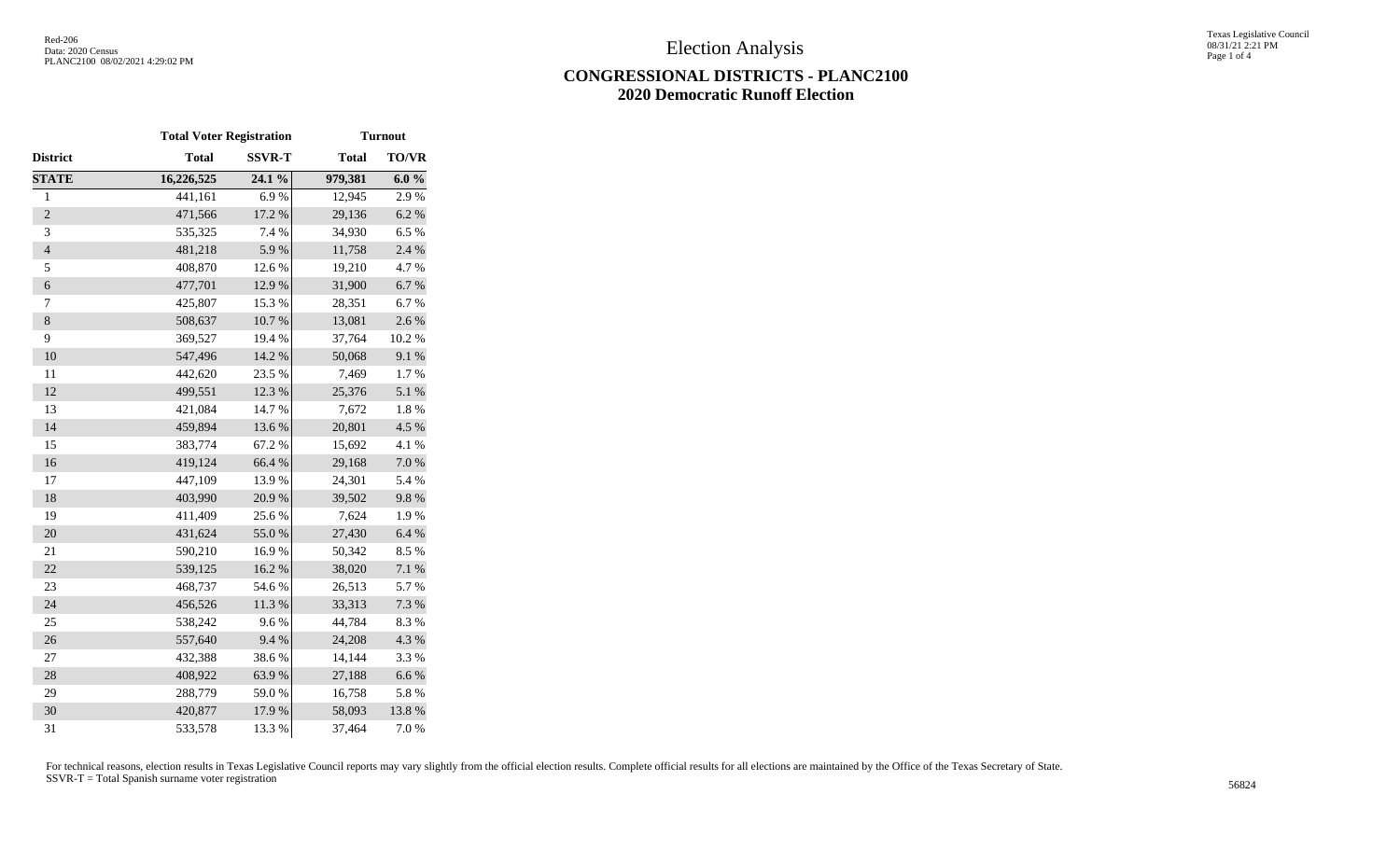## **CONGRESSIONAL DISTRICTS - PLANC2100 2020 Democratic Runoff Election**

|                          | <b>Total Voter Registration</b> |               | <b>Turnout</b> |              |  |  |
|--------------------------|---------------------------------|---------------|----------------|--------------|--|--|
| District                 | <b>Total</b>                    | <b>SSVR-T</b> | <b>Total</b>   | <b>TO/VR</b> |  |  |
| <b>STATE</b>             | 16,226,525                      | 24.1 %        | 979,381        | $6.0 \%$     |  |  |
| $\,1$                    | 441,161                         | 6.9%          | 12,945         | 2.9%         |  |  |
| $\overline{2}$           | 471,566                         | 17.2 %        | 29,136         | 6.2%         |  |  |
| 3                        | 535,325                         | 7.4 %         | 34,930         | 6.5%         |  |  |
| $\overline{\mathcal{L}}$ | 481,218                         | 5.9%          | 11,758         | 2.4 %        |  |  |
| 5                        | 408,870                         | 12.6 %        | 19,210         | 4.7%         |  |  |
| 6                        | 477,701                         | 12.9%         | 31,900         | 6.7%         |  |  |
| 7                        | 425,807                         | 15.3 %        | 28,351         | 6.7%         |  |  |
| $\,8\,$                  | 508,637                         | 10.7 %        | 13,081         | 2.6%         |  |  |
| 9                        | 369,527                         | 19.4 %        | 37,764         | 10.2 %       |  |  |
| 10                       | 547,496                         | 14.2 %        | 50,068         | 9.1 %        |  |  |
| 11                       | 442,620                         | 23.5 %        | 7,469          | 1.7%         |  |  |
| 12                       | 499,551                         | 12.3 %        | 25,376         | 5.1 %        |  |  |
| 13                       | 421,084                         | 14.7 %        | 7,672          | 1.8%         |  |  |
| 14                       | 459,894                         | 13.6 %        | 20,801         | 4.5 %        |  |  |
| 15                       | 383,774                         | 67.2%         | 15,692         | 4.1 %        |  |  |
| 16                       | 419,124                         | 66.4%         | 29,168         | $7.0\ \%$    |  |  |
| 17                       | 447,109                         | 13.9%         | 24,301         | 5.4 %        |  |  |
| 18                       | 403,990                         | 20.9%         | 39,502         | 9.8%         |  |  |
| 19                       | 411,409                         | 25.6%         | 7,624          | 1.9%         |  |  |
| 20                       | 431,624                         | 55.0%         | 27,430         | 6.4%         |  |  |
| 21                       | 590,210                         | 16.9%         | 50,342         | 8.5%         |  |  |
| 22                       | 539,125                         | 16.2%         | 38,020         | 7.1 %        |  |  |
| 23                       | 468,737                         | 54.6%         | 26,513         | 5.7 %        |  |  |
| 24                       | 456,526                         | 11.3 %        | 33,313         | 7.3 %        |  |  |
| 25                       | 538,242                         | 9.6%          | 44,784         | 8.3%         |  |  |
| 26                       | 557,640                         | 9.4%          | 24,208         | 4.3 %        |  |  |
| 27                       | 432,388                         | 38.6%         | 14,144         | 3.3 %        |  |  |
| 28                       | 408,922                         | 63.9%         | 27,188         | 6.6%         |  |  |
| 29                       | 288,779                         | 59.0%         | 16,758         | 5.8%         |  |  |
| 30                       | 420,877                         | 17.9 %        | 58,093         | 13.8 %       |  |  |
| 31                       | 533,578                         | 13.3 %        | 37,464         | 7.0%         |  |  |

For technical reasons, election results in Texas Legislative Council reports may vary slightly from the official election results. Complete official results for all elections are maintained by the Office of the Texas Secre SSVR-T = Total Spanish surname voter registration <sup>56824</sup>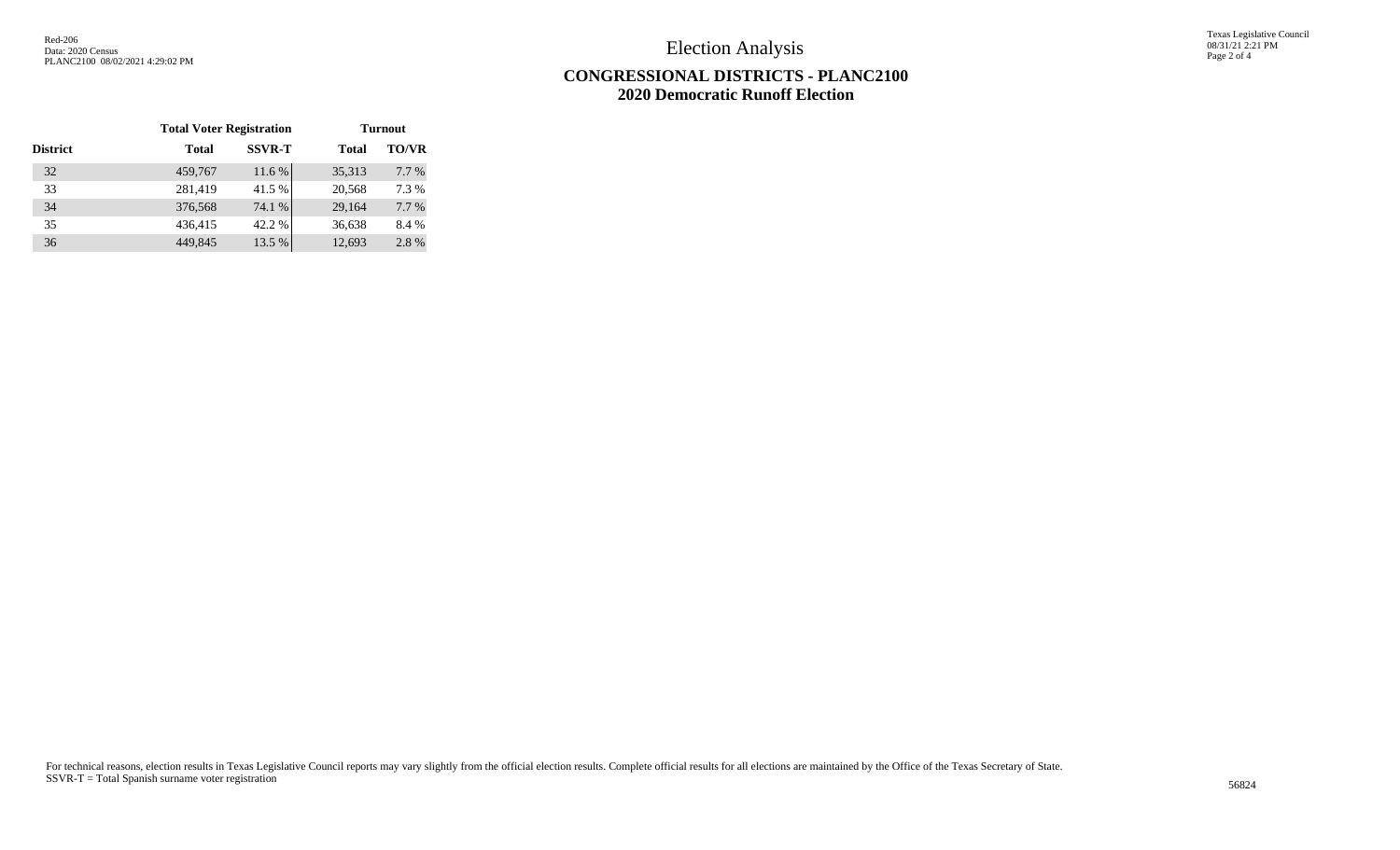Election Analysis

Texas Legislative Council 08/31/21 2:21 PM Page 2 of 4

## **CONGRESSIONAL DISTRICTS - PLANC2100 2020 Democratic Runoff Election**

|                 | <b>Total Voter Registration</b> |               | <b>Turnout</b> |              |  |
|-----------------|---------------------------------|---------------|----------------|--------------|--|
| <b>District</b> | <b>Total</b>                    | <b>SSVR-T</b> | <b>Total</b>   | <b>TO/VR</b> |  |
| 32              | 459,767                         | 11.6 %        | 35,313         | 7.7 %        |  |
| 33              | 281,419                         | 41.5 %        | 20,568         | 7.3 %        |  |
| 34              | 376,568                         | 74.1 %        | 29,164         | 7.7 %        |  |
| 35              | 436,415                         | 42.2 %        | 36,638         | 8.4 %        |  |
| 36              | 449,845                         | 13.5 %        | 12,693         | 2.8%         |  |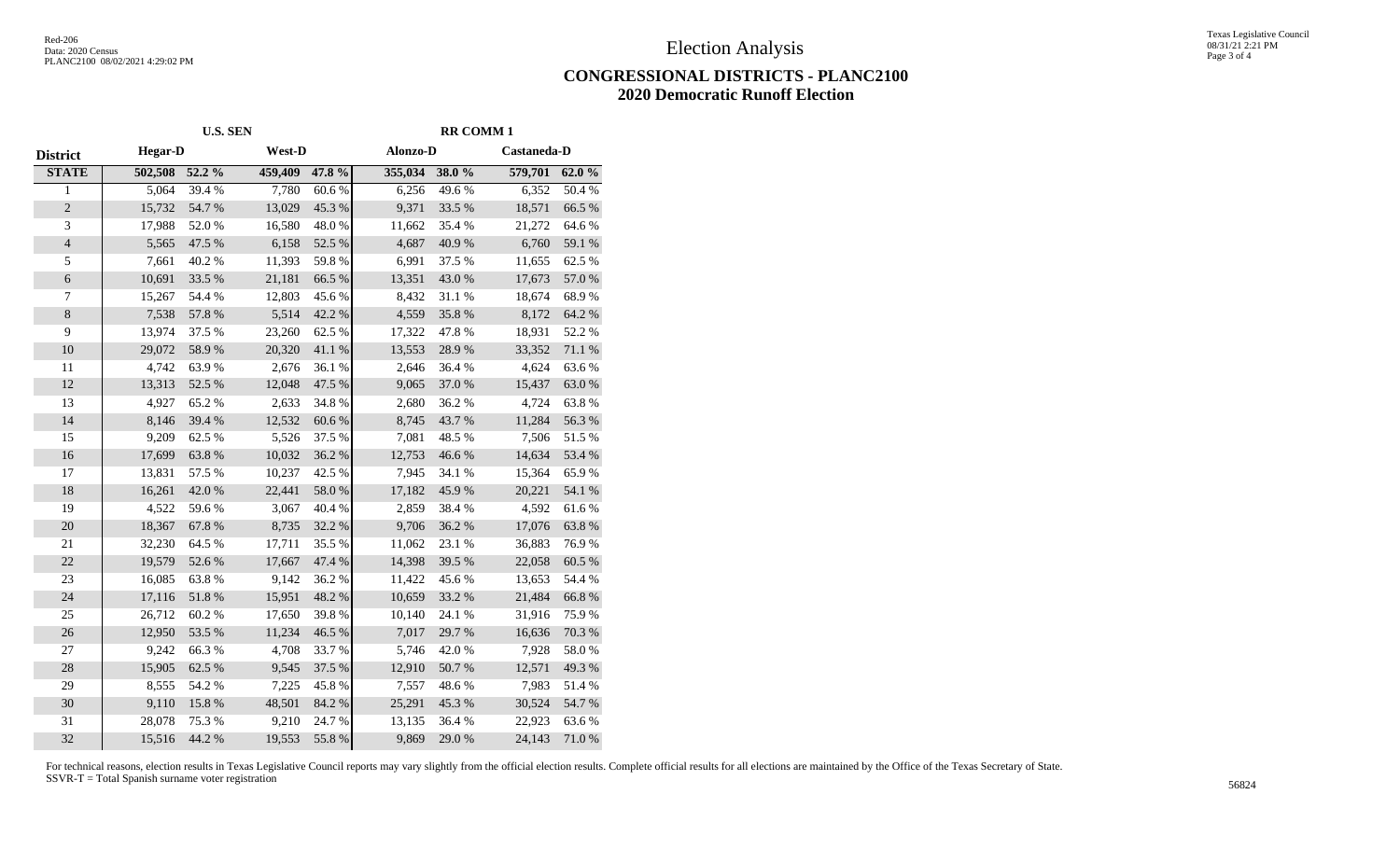Election Analysis

## **CONGRESSIONAL DISTRICTS - PLANC2100 2020 Democratic Runoff Election**

|                          | <b>U.S. SEN</b> |            |         |                  | <b>RR COMM1</b> |            |             |                  |
|--------------------------|-----------------|------------|---------|------------------|-----------------|------------|-------------|------------------|
| <b>District</b>          | <b>Hegar-D</b>  |            | West-D  |                  | Alonzo-D        |            | Castaneda-D |                  |
| <b>STATE</b>             | 502,508 52.2 %  |            | 459,409 | 47.8 %           | 355,034 38.0 %  |            | 579,701     | 62.0%            |
| $\mathbf{1}$             | 5,064           | 39.4 %     | 7,780   | 60.6%            | 6,256           | 49.6%      | 6,352       | 50.4 %           |
| $\overline{c}$           | 15,732          | 54.7 %     | 13,029  | 45.3 %           | 9,371           | 33.5 %     | 18,571      | 66.5%            |
| 3                        | 17,988          | 52.0%      | 16,580  | 48.0%            | 11,662          | 35.4 %     | 21,272      | 64.6%            |
| $\overline{4}$           | 5,565           | 47.5 %     | 6,158   | 52.5 %           | 4,687           | 40.9%      | 6,760       | 59.1 %           |
| $\sqrt{5}$               | 7,661           | 40.2 %     | 11,393  | 59.8%            | 6,991           | 37.5 %     | 11,655      | 62.5 %           |
| $\sqrt{6}$               | 10,691          | 33.5 %     | 21,181  | 66.5%            | 13,351          | 43.0%      | 17,673      | 57.0 %           |
| $\overline{\mathcal{I}}$ | 15,267          | 54.4 %     | 12,803  | 45.6%            | 8,432           | 31.1 %     | 18,674      | 68.9%            |
| $8\,$                    | 7,538           | 57.8 %     | 5,514   | 42.2 %           | 4,559           | 35.8 %     | 8,172       | 64.2%            |
| 9                        | 13,974          | 37.5 %     | 23,260  | 62.5 %           | 17,322          | 47.8%      | 18,931      | 52.2 %           |
| 10                       | 29,072          | 58.9%      | 20,320  | $41.1\text{ }\%$ | 13,553          | 28.9%      | 33,352      | $71.1\text{ }\%$ |
| 11                       | 4,742           | 63.9%      | 2,676   | 36.1%            | 2,646           | 36.4%      | 4,624       | 63.6%            |
| 12                       | 13,313          | 52.5 %     | 12,048  | 47.5 %           | 9,065           | 37.0%      | 15,437      | 63.0%            |
| 13                       | 4,927           | 65.2%      | 2,633   | 34.8%            | 2,680           | 36.2%      | 4,724       | 63.8%            |
| 14                       | 8,146           | 39.4 %     | 12,532  | 60.6%            | 8,745           | 43.7%      | 11,284      | 56.3%            |
| 15                       | 9,209           | 62.5 %     | 5,526   | 37.5 %           | 7,081           | 48.5 %     | 7,506       | 51.5%            |
| 16                       | 17,699          | 63.8%      | 10,032  | 36.2%            | 12,753          | 46.6%      | 14,634      | 53.4 %           |
| $17\,$                   | 13,831          | 57.5 %     | 10,237  | 42.5 %           | 7,945           | 34.1 %     | 15,364      | 65.9%            |
| $18\,$                   | 16,261          | $42.0\ \%$ | 22,441  | $58.0\;\%$       | 17,182          | 45.9%      | 20,221      | 54.1 %           |
| 19                       | 4,522           | 59.6%      | 3,067   | 40.4 %           | 2,859           | 38.4%      | 4,592       | 61.6%            |
| 20                       | 18,367          | 67.8%      | 8,735   | 32.2 %           | 9,706           | $36.2\ \%$ | 17,076      | 63.8%            |
| 21                       | 32,230          | 64.5 %     | 17,711  | 35.5 %           | 11,062          | 23.1 %     | 36,883      | 76.9%            |
| 22                       | 19,579          | 52.6 %     | 17,667  | 47.4 %           | 14,398          | 39.5 %     | 22,058      | 60.5 %           |
| 23                       | 16,085          | 63.8%      | 9,142   | 36.2%            | 11,422          | 45.6%      | 13,653      | 54.4 %           |
| 24                       | 17,116          | 51.8 %     | 15,951  | 48.2 %           | 10,659          | 33.2 %     | 21,484      | 66.8 %           |
| 25                       | 26,712          | $60.2~\%$  | 17,650  | 39.8%            | 10,140          | 24.1 %     | 31,916      | 75.9%            |
| 26                       | 12,950          | 53.5 %     | 11,234  | 46.5 %           | 7,017           | 29.7%      | 16,636      | 70.3 %           |
| 27                       | 9,242           | 66.3%      | 4,708   | 33.7%            | 5,746           | 42.0%      | 7,928       | $58.0~\%$        |
| 28                       | 15,905          | 62.5 %     | 9,545   | 37.5 %           | 12,910          | 50.7 %     | 12,571      | 49.3%            |
| 29                       | 8,555           | 54.2 %     | 7,225   | 45.8%            | 7,557           | 48.6%      | 7,983       | 51.4 %           |
| 30                       | 9,110           | 15.8 %     | 48,501  | 84.2 %           | 25,291          | 45.3%      | 30,524      | 54.7%            |
| 31                       | 28,078          | 75.3 %     | 9,210   | 24.7%            | 13,135          | 36.4%      | 22,923      | 63.6%            |
| 32                       | 15,516          | 44.2 %     | 19,553  | 55.8%            | 9,869           | 29.0%      | 24,143      | 71.0%            |

For technical reasons, election results in Texas Legislative Council reports may vary slightly from the official election results. Complete official results for all elections are maintained by the Office of the Texas Secre SSVR-T = Total Spanish surname voter registration <sup>56824</sup>